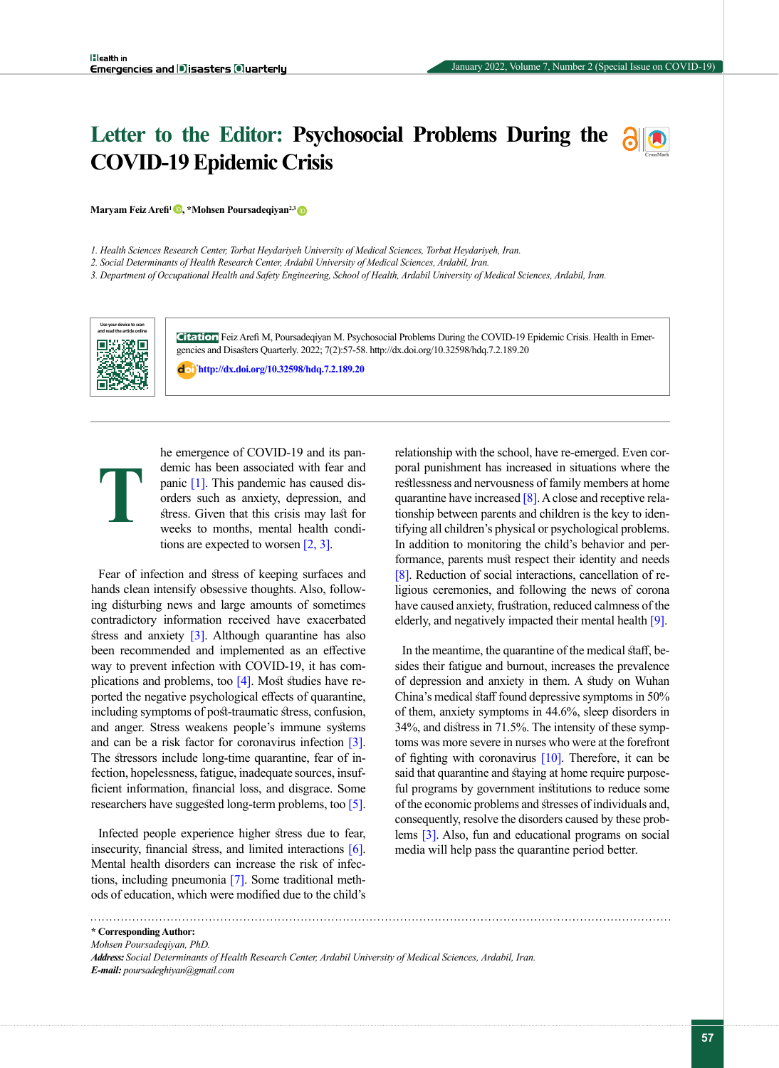# **Letter to the Editor: Psychosocial Problems During the COVID-19 Epidemic Crisis**



**Maryam Feiz Arefi<sup>1</sup> •, \*Mohsen Poursadeqiyan<sup>2,3</sup> •** 

*1. Health Sciences Research Center, Torbat Heydariyeh University of Medical Sciences, Torbat Heydariyeh, Iran.*

*2. Social Determinants of Health Research Center, Ardabil University of Medical Sciences, Ardabil, Iran.*

*3. Department of Occupational Health and Safety Engineering, School of Health, Ardabil University of Medical Sciences, Ardabil, Iran.*



**Citation** Feiz Arefi M, Poursadeqiyan M. Psychosocial Problems During the COVID-19 Epidemic Crisis. Health in Emergencies and Disasters Quarterly. 2022; 7(2):57-58. http://dx.doi.org/10.32598/hdq.7.2.189.20

**<http://dx.doi.org/10.32598/hdq.7.2.189.20>**

**T**

he emergence of COVID-19 and its pandemic has been associated with fear and panic [\[1\].](#page-1-0) This pandemic has caused disorders such as anxiety, depression, and stress. Given that this crisis may last for weeks to months, mental health conditions are expected to worsen [\[2,](#page-1-1) [3\]](#page-1-2).

Fear of infection and stress of keeping surfaces and hands clean intensify obsessive thoughts. Also, following disturbing news and large amounts of sometimes contradictory information received have exacerbated stress and anxiety  $\lceil 3 \rceil$ . Although quarantine has also been recommended and implemented as an effective way to prevent infection with COVID-19, it has complications and problems, too  $[4]$ . Most studies have reported the negative psychological effects of quarantine, including symptoms of post-traumatic stress, confusion, and anger. Stress weakens people's immune systems and can be a risk factor for coronavirus infection [\[3\]](#page-1-2). The stressors include long-time quarantine, fear of infection, hopelessness, fatigue, inadequate sources, insufficient information, financial loss, and disgrace. Some researchers have suggested long-term problems, too [\[5\]](#page-1-4).

Infected people experience higher stress due to fear, insecurity, financial stress, and limited interactions [6]. Mental health disorders can increase the risk of infections, including pneumonia [\[7\]](#page-1-5). Some traditional methods of education, which were modified due to the child's relationship with the school, have re-emerged. Even corporal punishment has increased in situations where the restlessness and nervousness of family members at home quarantine have increased  $[8]$ . A close and receptive relationship between parents and children is the key to identifying all children's physical or psychological problems. In addition to monitoring the child's behavior and performance, parents must respect their identity and needs [\[8\]](#page-1-6). Reduction of social interactions, cancellation of religious ceremonies, and following the news of corona have caused anxiety, frustration, reduced calmness of the elderly, and negatively impacted their mental health [\[9\]](#page-1-7).

In the meantime, the quarantine of the medical staff, besides their fatigue and burnout, increases the prevalence of depression and anxiety in them. A study on Wuhan China's medical staff found depressive symptoms in 50% of them, anxiety symptoms in 44.6%, sleep disorders in 34%, and distress in 71.5%. The intensity of these symptoms was more severe in nurses who were at the forefront of fighting with coronavirus  $[10]$ . Therefore, it can be said that quarantine and staying at home require purposeful programs by government institutions to reduce some of the economic problems and stresses of individuals and, consequently, resolve the disorders caused by these problems [\[3\]](#page-1-2). Also, fun and educational programs on social media will help pass the quarantine period better.

**\* Corresponding Author:**

*Mohsen Poursadeqiyan, PhD.*

*Address: Social Determinants of Health Research Center, Ardabil University of Medical Sciences, Ardabil, Iran. E-mail: poursadeghiyan@gmail.com*